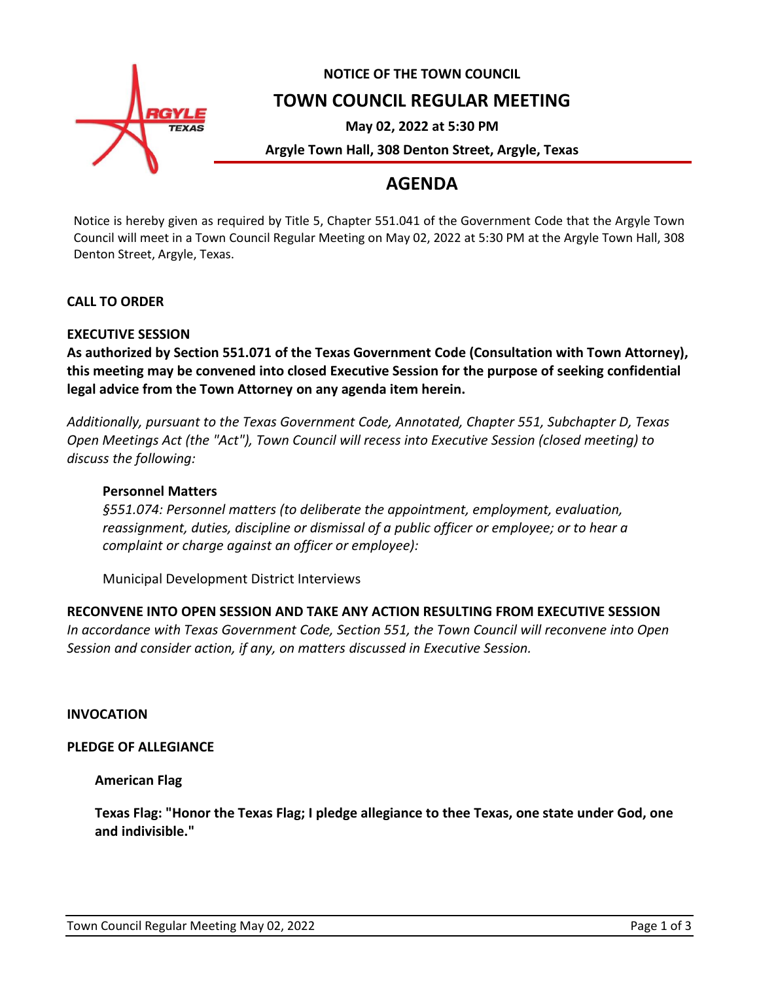

# **NOTICE OF THE TOWN COUNCIL**

# **TOWN COUNCIL REGULAR MEETING**

**May 02, 2022 at 5:30 PM**

**Argyle Town Hall, 308 Denton Street, Argyle, Texas**

# **AGENDA**

Notice is hereby given as required by Title 5, Chapter 551.041 of the Government Code that the Argyle Town Council will meet in a Town Council Regular Meeting on May 02, 2022 at 5:30 PM at the Argyle Town Hall, 308 Denton Street, Argyle, Texas.

## **CALL TO ORDER**

## **EXECUTIVE SESSION**

**As authorized by Section 551.071 of the Texas Government Code (Consultation with Town Attorney), this meeting may be convened into closed Executive Session for the purpose of seeking confidential legal advice from the Town Attorney on any agenda item herein.**

*Additionally, pursuant to the Texas Government Code, Annotated, Chapter 551, Subchapter D, Texas Open Meetings Act (the "Act"), Town Council will recess into Executive Session (closed meeting) to discuss the following:*

## **Personnel Matters**

*§551.074: Personnel matters (to deliberate the appointment, employment, evaluation, reassignment, duties, discipline or dismissal of a public officer or employee; or to hear a complaint or charge against an officer or employee):*

Municipal Development District Interviews

## **RECONVENE INTO OPEN SESSION AND TAKE ANY ACTION RESULTING FROM EXECUTIVE SESSION**

*In accordance with Texas Government Code, Section 551, the Town Council will reconvene into Open Session and consider action, if any, on matters discussed in Executive Session.*

## **INVOCATION**

## **PLEDGE OF ALLEGIANCE**

**American Flag**

**Texas Flag: "Honor the Texas Flag; I pledge allegiance to thee Texas, one state under God, one and indivisible."**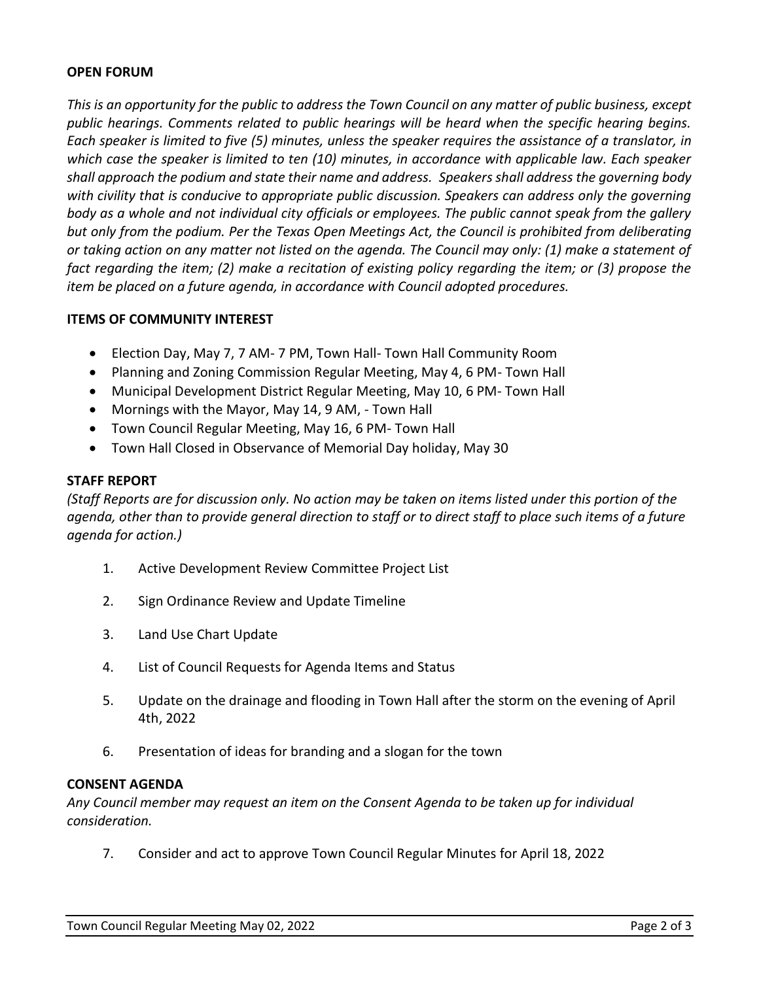## **OPEN FORUM**

*This is an opportunity for the public to address the Town Council on any matter of public business, except public hearings. Comments related to public hearings will be heard when the specific hearing begins. Each speaker is limited to five (5) minutes, unless the speaker requires the assistance of a translator, in which case the speaker is limited to ten (10) minutes, in accordance with applicable law. Each speaker shall approach the podium and state their name and address. Speakers shall address the governing body with civility that is conducive to appropriate public discussion. Speakers can address only the governing body as a whole and not individual city officials or employees. The public cannot speak from the gallery but only from the podium. Per the Texas Open Meetings Act, the Council is prohibited from deliberating or taking action on any matter not listed on the agenda. The Council may only: (1) make a statement of fact regarding the item; (2) make a recitation of existing policy regarding the item; or (3) propose the item be placed on a future agenda, in accordance with Council adopted procedures.*

## **ITEMS OF COMMUNITY INTEREST**

- Election Day, May 7, 7 AM- 7 PM, Town Hall- Town Hall Community Room
- Planning and Zoning Commission Regular Meeting, May 4, 6 PM- Town Hall
- Municipal Development District Regular Meeting, May 10, 6 PM- Town Hall
- Mornings with the Mayor, May 14, 9 AM, Town Hall
- Town Council Regular Meeting, May 16, 6 PM- Town Hall
- Town Hall Closed in Observance of Memorial Day holiday, May 30

## **STAFF REPORT**

*(Staff Reports are for discussion only. No action may be taken on items listed under this portion of the agenda, other than to provide general direction to staff or to direct staff to place such items of a future agenda for action.)*

- 1. Active Development Review Committee Project List
- 2. Sign Ordinance Review and Update Timeline
- 3. Land Use Chart Update
- 4. List of Council Requests for Agenda Items and Status
- 5. Update on the drainage and flooding in Town Hall after the storm on the evening of April 4th, 2022
- 6. Presentation of ideas for branding and a slogan for the town

## **CONSENT AGENDA**

*Any Council member may request an item on the Consent Agenda to be taken up for individual consideration.*

7. Consider and act to approve Town Council Regular Minutes for April 18, 2022